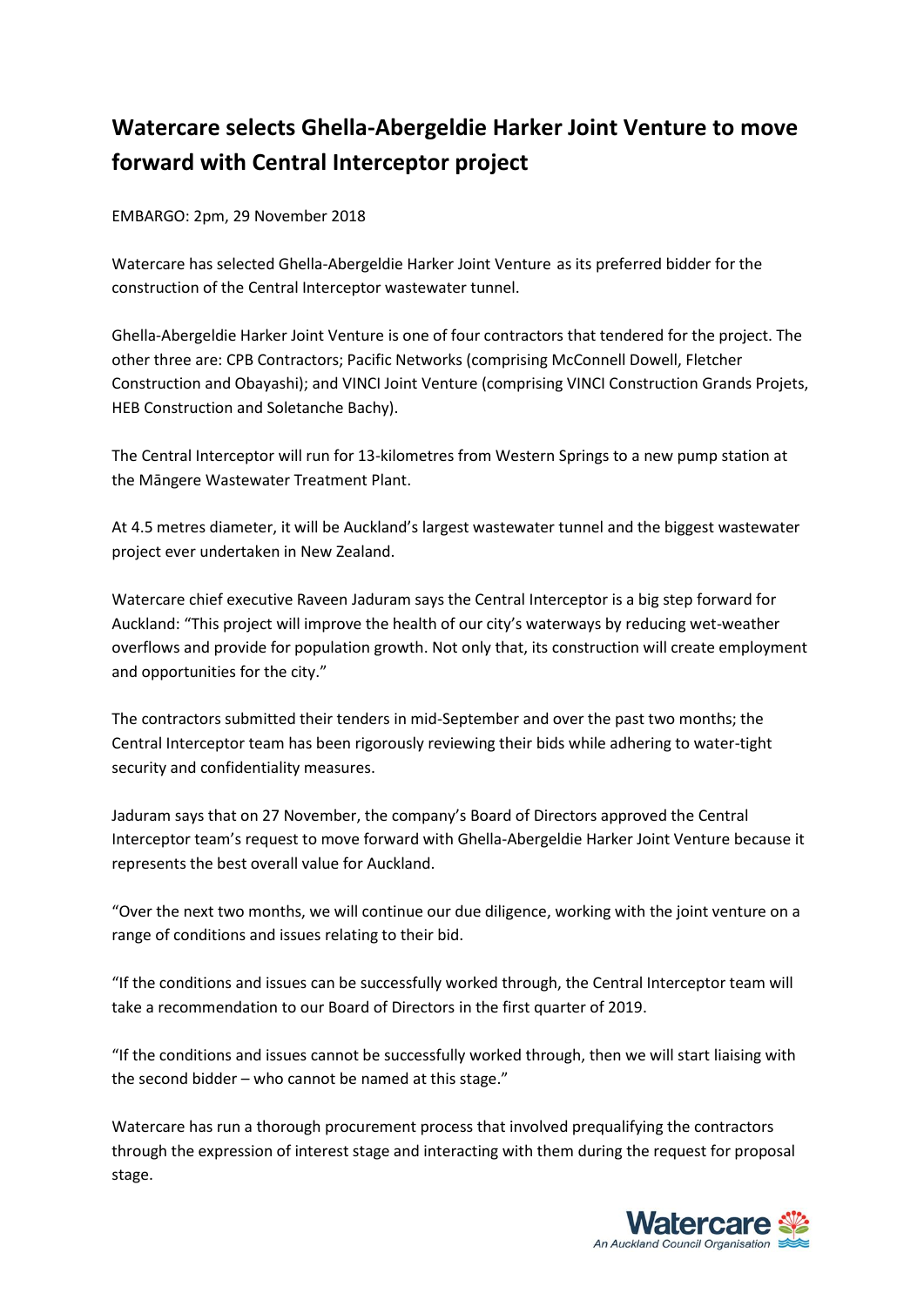## **Watercare selects Ghella-Abergeldie Harker Joint Venture to move forward with Central Interceptor project**

EMBARGO: 2pm, 29 November 2018

Watercare has selected Ghella-Abergeldie Harker Joint Venture as its preferred bidder for the construction of the Central Interceptor wastewater tunnel.

Ghella-Abergeldie Harker Joint Venture is one of four contractors that tendered for the project. The other three are: CPB Contractors; Pacific Networks (comprising McConnell Dowell, Fletcher Construction and Obayashi); and VINCI Joint Venture (comprising VINCI Construction Grands Projets, HEB Construction and Soletanche Bachy).

The Central Interceptor will run for 13-kilometres from Western Springs to a new pump station at the Māngere Wastewater Treatment Plant.

At 4.5 metres diameter, it will be Auckland's largest wastewater tunnel and the biggest wastewater project ever undertaken in New Zealand.

Watercare chief executive Raveen Jaduram says the Central Interceptor is a big step forward for Auckland: "This project will improve the health of our city's waterways by reducing wet-weather overflows and provide for population growth. Not only that, its construction will create employment and opportunities for the city."

The contractors submitted their tenders in mid-September and over the past two months; the Central Interceptor team has been rigorously reviewing their bids while adhering to water-tight security and confidentiality measures.

Jaduram says that on 27 November, the company's Board of Directors approved the Central Interceptor team's request to move forward with Ghella-Abergeldie Harker Joint Venture because it represents the best overall value for Auckland.

"Over the next two months, we will continue our due diligence, working with the joint venture on a range of conditions and issues relating to their bid.

"If the conditions and issues can be successfully worked through, the Central Interceptor team will take a recommendation to our Board of Directors in the first quarter of 2019.

"If the conditions and issues cannot be successfully worked through, then we will start liaising with the second bidder – who cannot be named at this stage."

Watercare has run a thorough procurement process that involved prequalifying the contractors through the expression of interest stage and interacting with them during the request for proposal stage.

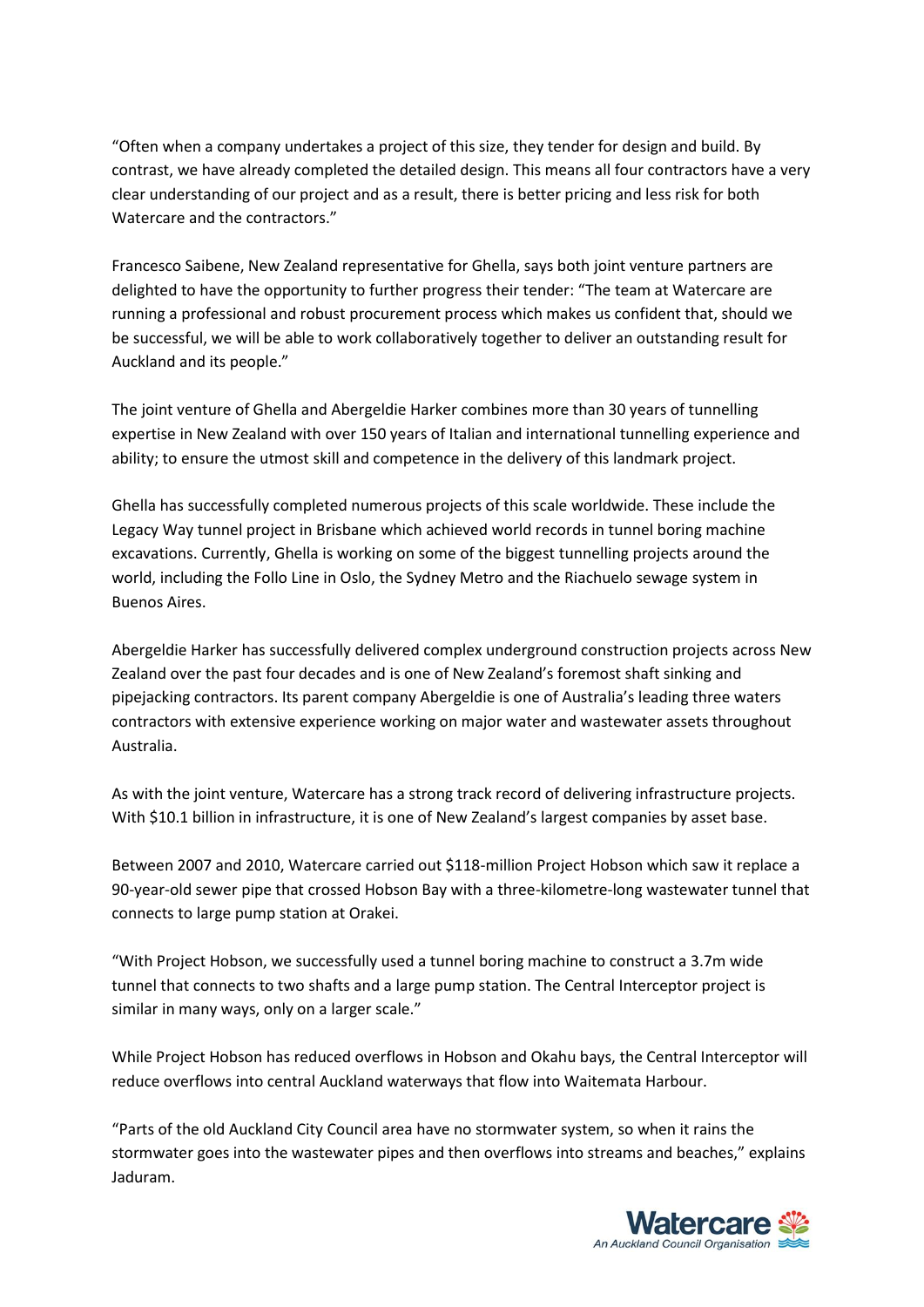"Often when a company undertakes a project of this size, they tender for design and build. By contrast, we have already completed the detailed design. This means all four contractors have a very clear understanding of our project and as a result, there is better pricing and less risk for both Watercare and the contractors."

Francesco Saibene, New Zealand representative for Ghella, says both joint venture partners are delighted to have the opportunity to further progress their tender: "The team at Watercare are running a professional and robust procurement process which makes us confident that, should we be successful, we will be able to work collaboratively together to deliver an outstanding result for Auckland and its people."

The joint venture of Ghella and Abergeldie Harker combines more than 30 years of tunnelling expertise in New Zealand with over 150 years of Italian and international tunnelling experience and ability; to ensure the utmost skill and competence in the delivery of this landmark project.

Ghella has successfully completed numerous projects of this scale worldwide. These include the Legacy Way tunnel project in Brisbane which achieved world records in tunnel boring machine excavations. Currently, Ghella is working on some of the biggest tunnelling projects around the world, including the Follo Line in Oslo, the Sydney Metro and the Riachuelo sewage system in Buenos Aires.

Abergeldie Harker has successfully delivered complex underground construction projects across New Zealand over the past four decades and is one of New Zealand's foremost shaft sinking and pipejacking contractors. Its parent company Abergeldie is one of Australia's leading three waters contractors with extensive experience working on major water and wastewater assets throughout Australia.

As with the joint venture, Watercare has a strong track record of delivering infrastructure projects. With \$10.1 billion in infrastructure, it is one of New Zealand's largest companies by asset base.

Between 2007 and 2010, Watercare carried out \$118-million Project Hobson which saw it replace a 90-year-old sewer pipe that crossed Hobson Bay with a three-kilometre-long wastewater tunnel that connects to large pump station at Orakei.

"With Project Hobson, we successfully used a tunnel boring machine to construct a 3.7m wide tunnel that connects to two shafts and a large pump station. The Central Interceptor project is similar in many ways, only on a larger scale."

While Project Hobson has reduced overflows in Hobson and Okahu bays, the Central Interceptor will reduce overflows into central Auckland waterways that flow into Waitemata Harbour.

"Parts of the old Auckland City Council area have no stormwater system, so when it rains the stormwater goes into the wastewater pipes and then overflows into streams and beaches," explains Jaduram.